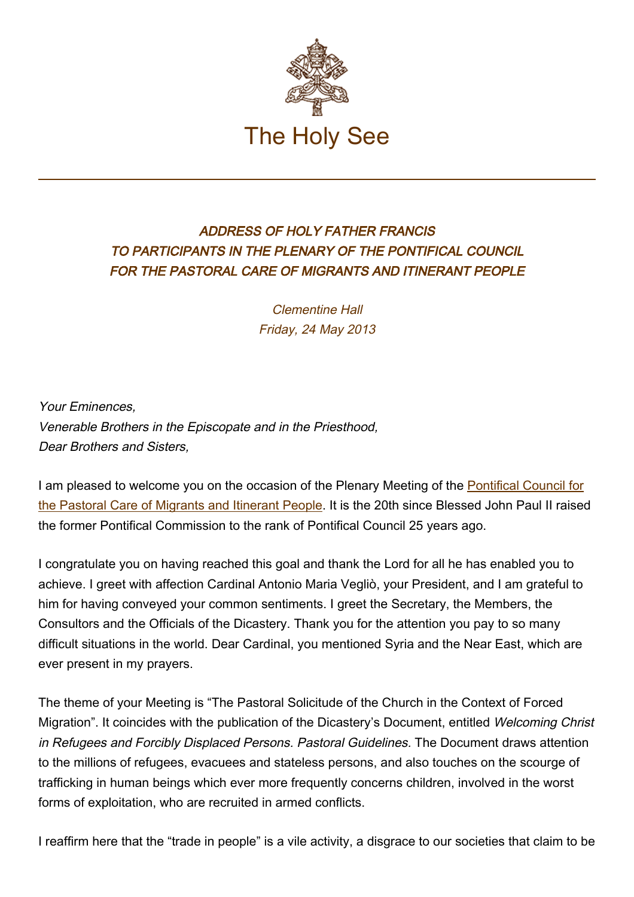

## ADDRESS OF HOLY FATHER FRANCIS TO PARTICIPANTS IN THE PLENARY OF THE PONTIFICAL COUNCIL FOR THE PASTORAL CARE OF MIGRANTS AND ITINERANT PEOPLE

Clementine Hall Friday, 24 May 2013

Your Eminences, Venerable Brothers in the Episcopate and in the Priesthood, Dear Brothers and Sisters,

I am pleased to welcome you on the occasion of the Plenary Meeting of the [Pontifical Council for](http://www.vatican.va/roman_curia/pontifical_councils/migrants/index.htm) [the Pastoral Care of Migrants and Itinerant People.](http://www.vatican.va/roman_curia/pontifical_councils/migrants/index.htm) It is the 20th since Blessed John Paul II raised the former Pontifical Commission to the rank of Pontifical Council 25 years ago.

I congratulate you on having reached this goal and thank the Lord for all he has enabled you to achieve. I greet with affection Cardinal Antonio Maria Vegliò, your President, and I am grateful to him for having conveyed your common sentiments. I greet the Secretary, the Members, the Consultors and the Officials of the Dicastery. Thank you for the attention you pay to so many difficult situations in the world. Dear Cardinal, you mentioned Syria and the Near East, which are ever present in my prayers.

The theme of your Meeting is "The Pastoral Solicitude of the Church in the Context of Forced Migration". It coincides with the publication of the Dicastery's Document, entitled Welcoming Christ in Refugees and Forcibly Displaced Persons. Pastoral Guidelines. The Document draws attention to the millions of refugees, evacuees and stateless persons, and also touches on the scourge of trafficking in human beings which ever more frequently concerns children, involved in the worst forms of exploitation, who are recruited in armed conflicts.

I reaffirm here that the "trade in people" is a vile activity, a disgrace to our societies that claim to be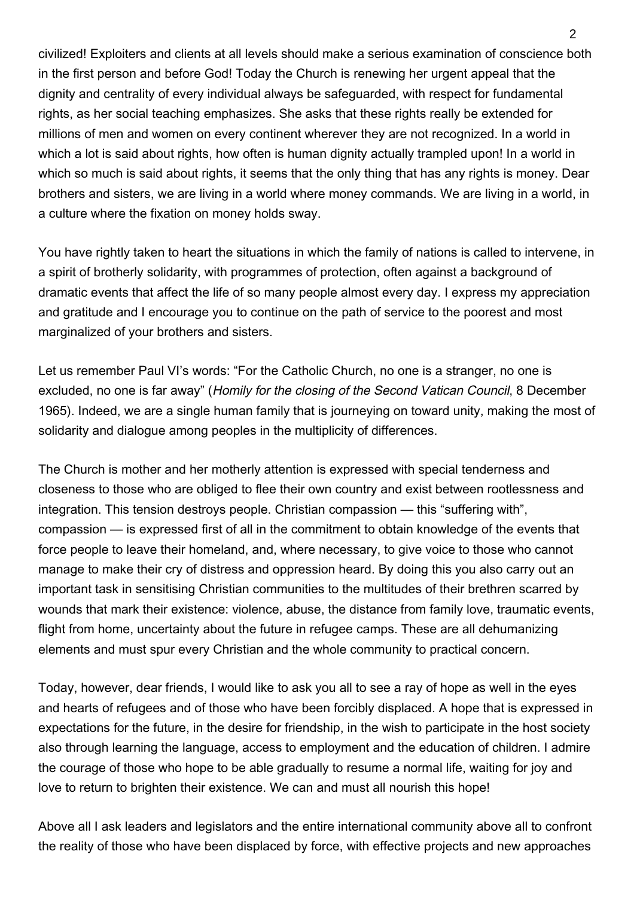civilized! Exploiters and clients at all levels should make a serious examination of conscience both in the first person and before God! Today the Church is renewing her urgent appeal that the dignity and centrality of every individual always be safeguarded, with respect for fundamental rights, as her social teaching emphasizes. She asks that these rights really be extended for millions of men and women on every continent wherever they are not recognized. In a world in which a lot is said about rights, how often is human dignity actually trampled upon! In a world in which so much is said about rights, it seems that the only thing that has any rights is money. Dear brothers and sisters, we are living in a world where money commands. We are living in a world, in a culture where the fixation on money holds sway.

You have rightly taken to heart the situations in which the family of nations is called to intervene, in a spirit of brotherly solidarity, with programmes of protection, often against a background of dramatic events that affect the life of so many people almost every day. I express my appreciation and gratitude and I encourage you to continue on the path of service to the poorest and most marginalized of your brothers and sisters.

Let us remember Paul VI's words: "For the Catholic Church, no one is a stranger, no one is excluded, no one is far away" (Homily for the closing of the Second Vatican Council, 8 December 1965). Indeed, we are a single human family that is journeying on toward unity, making the most of solidarity and dialogue among peoples in the multiplicity of differences.

The Church is mother and her motherly attention is expressed with special tenderness and closeness to those who are obliged to flee their own country and exist between rootlessness and integration. This tension destroys people. Christian compassion — this "suffering with", compassion — is expressed first of all in the commitment to obtain knowledge of the events that force people to leave their homeland, and, where necessary, to give voice to those who cannot manage to make their cry of distress and oppression heard. By doing this you also carry out an important task in sensitising Christian communities to the multitudes of their brethren scarred by wounds that mark their existence: violence, abuse, the distance from family love, traumatic events, flight from home, uncertainty about the future in refugee camps. These are all dehumanizing elements and must spur every Christian and the whole community to practical concern.

Today, however, dear friends, I would like to ask you all to see a ray of hope as well in the eyes and hearts of refugees and of those who have been forcibly displaced. A hope that is expressed in expectations for the future, in the desire for friendship, in the wish to participate in the host society also through learning the language, access to employment and the education of children. I admire the courage of those who hope to be able gradually to resume a normal life, waiting for joy and love to return to brighten their existence. We can and must all nourish this hope!

Above all I ask leaders and legislators and the entire international community above all to confront the reality of those who have been displaced by force, with effective projects and new approaches